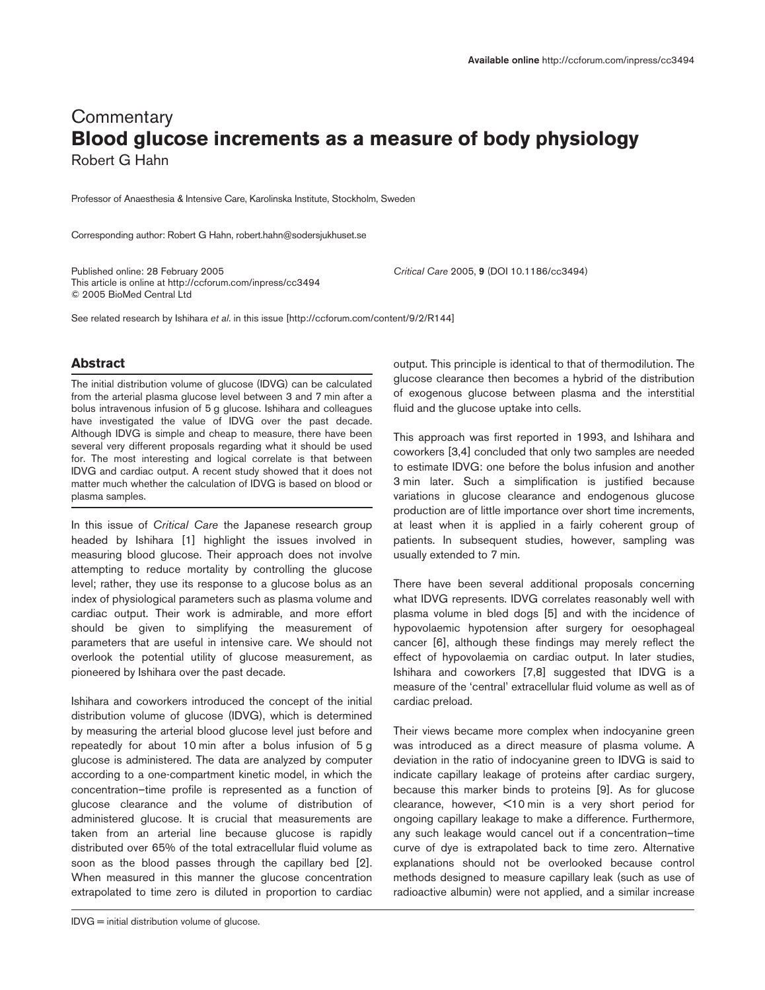## **Commentary Blood glucose increments as a measure of body physiology** Robert G Hahn

Professor of Anaesthesia & Intensive Care, Karolinska Institute, Stockholm, Sweden

Corresponding author: Robert G Hahn, robert.hahn@sodersjukhuset.se

Published online: 28 February 2005 *Critical Care* 2005, **9** (DOI 10.1186/cc3494) This article is online at http://ccforum.com/inpress/cc3494 © 2005 BioMed Central Ltd

See related research by Ishihara *et al*. in this issue [http://ccforum.com/content/9/2/R144]

## **Abstract**

The initial distribution volume of glucose (IDVG) can be calculated from the arterial plasma glucose level between 3 and 7 min after a bolus intravenous infusion of 5 g glucose. Ishihara and colleagues have investigated the value of IDVG over the past decade. Although IDVG is simple and cheap to measure, there have been several very different proposals regarding what it should be used for. The most interesting and logical correlate is that between IDVG and cardiac output. A recent study showed that it does not matter much whether the calculation of IDVG is based on blood or plasma samples.

In this issue of *Critical Care* the Japanese research group headed by Ishihara [1] highlight the issues involved in measuring blood glucose. Their approach does not involve attempting to reduce mortality by controlling the glucose level; rather, they use its response to a glucose bolus as an index of physiological parameters such as plasma volume and cardiac output. Their work is admirable, and more effort should be given to simplifying the measurement of parameters that are useful in intensive care. We should not overlook the potential utility of glucose measurement, as pioneered by Ishihara over the past decade.

Ishihara and coworkers introduced the concept of the initial distribution volume of glucose (IDVG), which is determined by measuring the arterial blood glucose level just before and repeatedly for about 10 min after a bolus infusion of 5 g glucose is administered. The data are analyzed by computer according to a one-compartment kinetic model, in which the concentration–time profile is represented as a function of glucose clearance and the volume of distribution of administered glucose. It is crucial that measurements are taken from an arterial line because glucose is rapidly distributed over 65% of the total extracellular fluid volume as soon as the blood passes through the capillary bed [2]. When measured in this manner the glucose concentration extrapolated to time zero is diluted in proportion to cardiac

output. This principle is identical to that of thermodilution. The glucose clearance then becomes a hybrid of the distribution of exogenous glucose between plasma and the interstitial fluid and the glucose uptake into cells.

This approach was first reported in 1993, and Ishihara and coworkers [3,4] concluded that only two samples are needed to estimate IDVG: one before the bolus infusion and another 3 min later. Such a simplification is justified because variations in glucose clearance and endogenous glucose production are of little importance over short time increments, at least when it is applied in a fairly coherent group of patients. In subsequent studies, however, sampling was usually extended to 7 min.

There have been several additional proposals concerning what IDVG represents. IDVG correlates reasonably well with plasma volume in bled dogs [5] and with the incidence of hypovolaemic hypotension after surgery for oesophageal cancer [6], although these findings may merely reflect the effect of hypovolaemia on cardiac output. In later studies, Ishihara and coworkers [7,8] suggested that IDVG is a measure of the 'central' extracellular fluid volume as well as of cardiac preload.

Their views became more complex when indocyanine green was introduced as a direct measure of plasma volume. A deviation in the ratio of indocyanine green to IDVG is said to indicate capillary leakage of proteins after cardiac surgery, because this marker binds to proteins [9]. As for glucose clearance, however, <10 min is a very short period for ongoing capillary leakage to make a difference. Furthermore, any such leakage would cancel out if a concentration–time curve of dye is extrapolated back to time zero. Alternative explanations should not be overlooked because control methods designed to measure capillary leak (such as use of radioactive albumin) were not applied, and a similar increase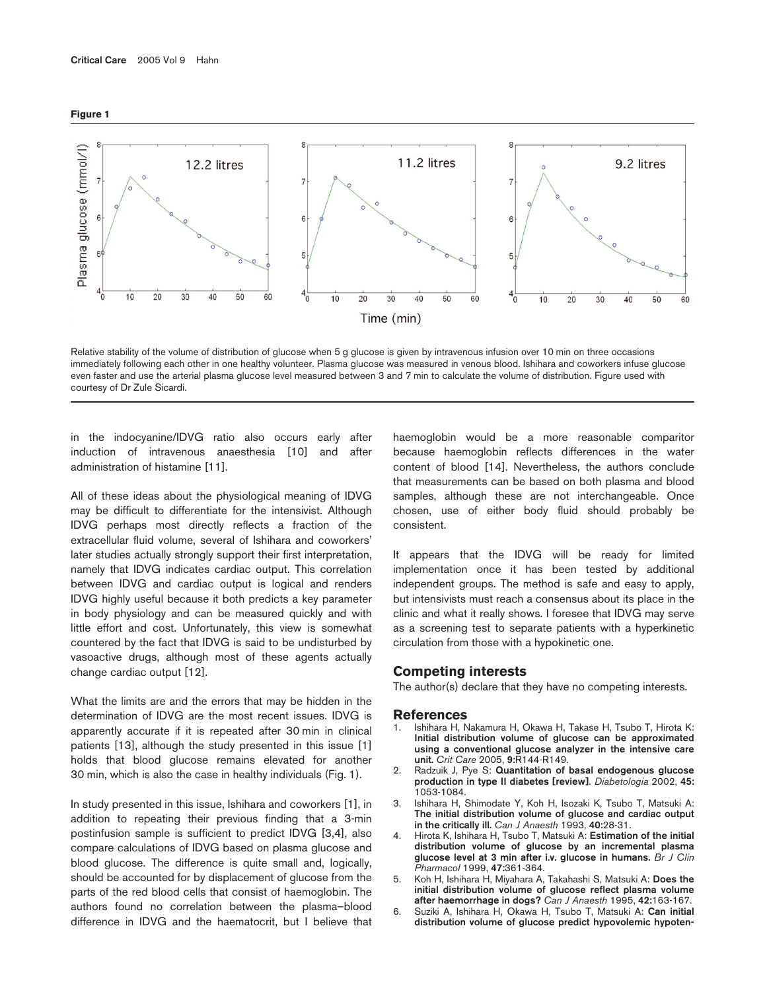



Relative stability of the volume of distribution of glucose when 5 g glucose is given by intravenous infusion over 10 min on three occasions immediately following each other in one healthy volunteer. Plasma glucose was measured in venous blood. Ishihara and coworkers infuse glucose even faster and use the arterial plasma glucose level measured between 3 and 7 min to calculate the volume of distribution. Figure used with courtesy of Dr Zule Sicardi.

in the indocyanine/IDVG ratio also occurs early after induction of intravenous anaesthesia [10] and after administration of histamine [11].

All of these ideas about the physiological meaning of IDVG may be difficult to differentiate for the intensivist. Although IDVG perhaps most directly reflects a fraction of the extracellular fluid volume, several of Ishihara and coworkers' later studies actually strongly support their first interpretation, namely that IDVG indicates cardiac output. This correlation between IDVG and cardiac output is logical and renders IDVG highly useful because it both predicts a key parameter in body physiology and can be measured quickly and with little effort and cost. Unfortunately, this view is somewhat countered by the fact that IDVG is said to be undisturbed by vasoactive drugs, although most of these agents actually change cardiac output [12].

What the limits are and the errors that may be hidden in the determination of IDVG are the most recent issues. IDVG is apparently accurate if it is repeated after 30 min in clinical patients [13], although the study presented in this issue [1] holds that blood glucose remains elevated for another 30 min, which is also the case in healthy individuals (Fig. 1).

In study presented in this issue, Ishihara and coworkers [1], in addition to repeating their previous finding that a 3-min postinfusion sample is sufficient to predict IDVG [3,4], also compare calculations of IDVG based on plasma glucose and blood glucose. The difference is quite small and, logically, should be accounted for by displacement of glucose from the parts of the red blood cells that consist of haemoglobin. The authors found no correlation between the plasma–blood difference in IDVG and the haematocrit, but I believe that haemoglobin would be a more reasonable comparitor because haemoglobin reflects differences in the water content of blood [14]. Nevertheless, the authors conclude that measurements can be based on both plasma and blood samples, although these are not interchangeable. Once chosen, use of either body fluid should probably be consistent.

It appears that the IDVG will be ready for limited implementation once it has been tested by additional independent groups. The method is safe and easy to apply, but intensivists must reach a consensus about its place in the clinic and what it really shows. I foresee that IDVG may serve as a screening test to separate patients with a hyperkinetic circulation from those with a hypokinetic one.

## **Competing interests**

The author(s) declare that they have no competing interests.

## **References**

- 1. Ishihara H, Nakamura H, Okawa H, Takase H, Tsubo T, Hirota K: **Initial distribution volume of glucose can be approximated using a conventional glucose analyzer in the intensive care unit.** *Crit Care* 2005, **9:**R144-R149.
- 2. Radzuik J, Pye S: **Quantitation of basal endogenous glucose production in type II diabetes [review]**. *Diabetologia* 2002, **45:** 1053-1084.
- 3. Ishihara H, Shimodate Y, Koh H, Isozaki K, Tsubo T, Matsuki A: **The initial distribution volume of glucose and cardiac output in the critically ill.** *Can J Anaesth* 1993, **40:**28-31.
- 4. Hirota K, Ishihara H, Tsubo T, Matsuki A: **Estimation of the initial distribution volume of glucose by an incremental plasma glucose level at 3 min after i.v. glucose in humans.** *Br J Clin Pharmacol* 1999, **47:**361-364.
- 5. Koh H, Ishihara H, Miyahara A, Takahashi S, Matsuki A: **Does the initial distribution volume of glucose reflect plasma volume after haemorrhage in dogs?** *Can J Anaesth* 1995, **42:**163-167.
- 6. Suziki A, Ishihara H, Okawa H, Tsubo T, Matsuki A: **Can initial distribution volume of glucose predict hypovolemic hypoten-**